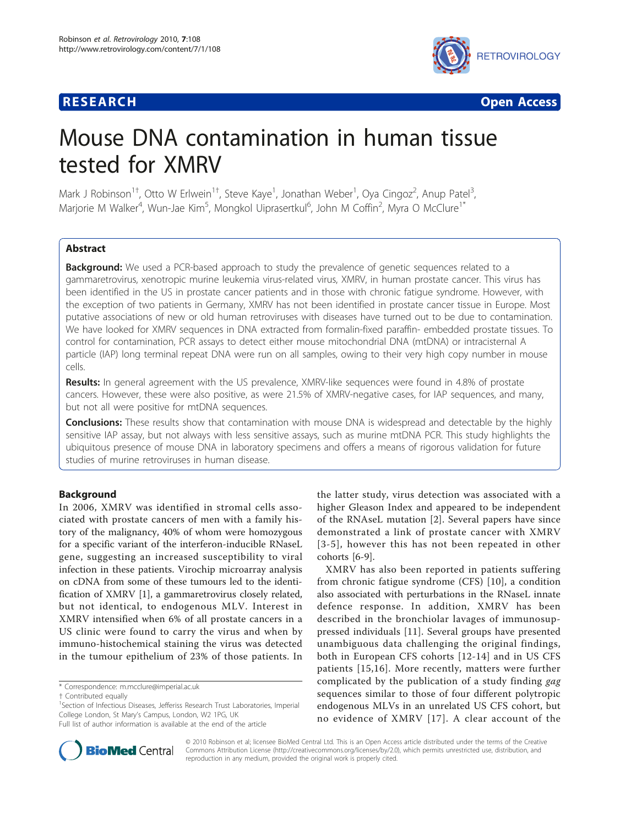

**RESEARCH CONSTRUCTION CONSTRUCTS** 

# Mouse DNA contamination in human tissue tested for XMRV

Mark J Robinson<sup>1†</sup>, Otto W Erlwein<sup>1†</sup>, Steve Kaye<sup>1</sup>, Jonathan Weber<sup>1</sup>, Oya Cingoz<sup>2</sup>, Anup Patel<sup>3</sup> , Marjorie M Walker<sup>4</sup>, Wun-Jae Kim<sup>5</sup>, Mongkol Uiprasertkul<sup>6</sup>, John M Coffin<sup>2</sup>, Myra O McClure<sup>1\*</sup>

# **Abstract**

**Background:** We used a PCR-based approach to study the prevalence of genetic sequences related to a gammaretrovirus, xenotropic murine leukemia virus-related virus, XMRV, in human prostate cancer. This virus has been identified in the US in prostate cancer patients and in those with chronic fatigue syndrome. However, with the exception of two patients in Germany, XMRV has not been identified in prostate cancer tissue in Europe. Most putative associations of new or old human retroviruses with diseases have turned out to be due to contamination. We have looked for XMRV sequences in DNA extracted from formalin-fixed paraffin- embedded prostate tissues. To control for contamination, PCR assays to detect either mouse mitochondrial DNA (mtDNA) or intracisternal A particle (IAP) long terminal repeat DNA were run on all samples, owing to their very high copy number in mouse cells.

Results: In general agreement with the US prevalence, XMRV-like sequences were found in 4.8% of prostate cancers. However, these were also positive, as were 21.5% of XMRV-negative cases, for IAP sequences, and many, but not all were positive for mtDNA sequences.

**Conclusions:** These results show that contamination with mouse DNA is widespread and detectable by the highly sensitive IAP assay, but not always with less sensitive assays, such as murine mtDNA PCR. This study highlights the ubiquitous presence of mouse DNA in laboratory specimens and offers a means of rigorous validation for future studies of murine retroviruses in human disease.

# Background

In 2006, XMRV was identified in stromal cells associated with prostate cancers of men with a family history of the malignancy, 40% of whom were homozygous for a specific variant of the interferon-inducible RNaseL gene, suggesting an increased susceptibility to viral infection in these patients. Virochip microarray analysis on cDNA from some of these tumours led to the identification of XMRV [[1](#page-4-0)], a gammaretrovirus closely related, but not identical, to endogenous MLV. Interest in XMRV intensified when 6% of all prostate cancers in a US clinic were found to carry the virus and when by immuno-histochemical staining the virus was detected in the tumour epithelium of 23% of those patients. In

\* Correspondence: [m.mcclure@imperial.ac.uk](mailto:m.mcclure@imperial.ac.uk)



XMRV has also been reported in patients suffering from chronic fatigue syndrome (CFS) [\[10](#page-4-0)], a condition also associated with perturbations in the RNaseL innate defence response. In addition, XMRV has been described in the bronchiolar lavages of immunosuppressed individuals [\[11](#page-4-0)]. Several groups have presented unambiguous data challenging the original findings, both in European CFS cohorts [\[12-14\]](#page-4-0) and in US CFS patients [\[15,16\]](#page-4-0). More recently, matters were further complicated by the publication of a study finding gag sequences similar to those of four different polytropic endogenous MLVs in an unrelated US CFS cohort, but no evidence of XMRV [[17\]](#page-5-0). A clear account of the



© 2010 Robinson et al; licensee BioMed Central Ltd. This is an Open Access article distributed under the terms of the Creative Commons Attribution License [\(http://creativecommons.org/licenses/by/2.0](http://creativecommons.org/licenses/by/2.0)), which permits unrestricted use, distribution, and reproduction in any medium, provided the original work is properly cited.

<sup>†</sup> Contributed equally <sup>1</sup>

<sup>&</sup>lt;sup>1</sup>Section of Infectious Diseases, Jefferiss Research Trust Laboratories, Imperial College London, St Mary's Campus, London, W2 1PG, UK

Full list of author information is available at the end of the article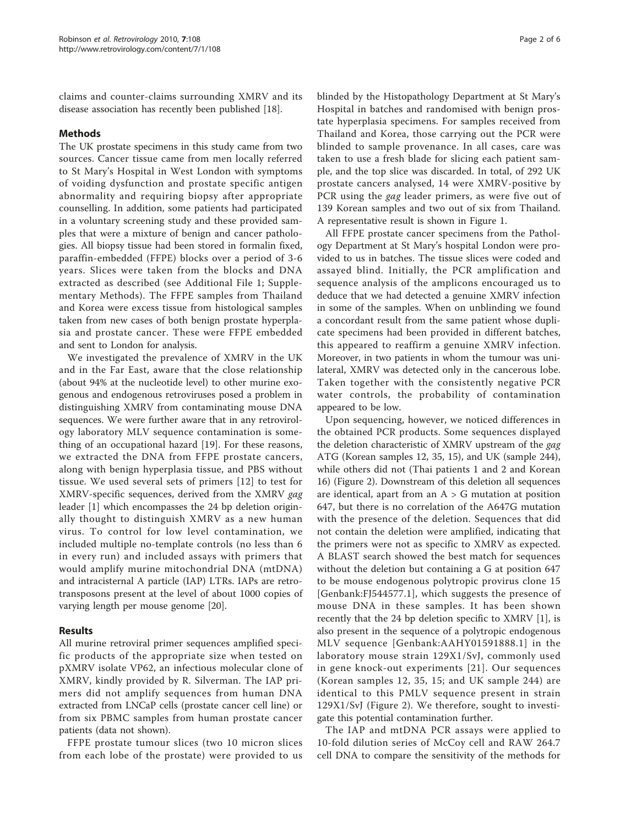claims and counter-claims surrounding XMRV and its disease association has recently been published [\[18](#page-5-0)].

# Methods

The UK prostate specimens in this study came from two sources. Cancer tissue came from men locally referred to St Mary's Hospital in West London with symptoms of voiding dysfunction and prostate specific antigen abnormality and requiring biopsy after appropriate counselling. In addition, some patients had participated in a voluntary screening study and these provided samples that were a mixture of benign and cancer pathologies. All biopsy tissue had been stored in formalin fixed, paraffin-embedded (FFPE) blocks over a period of 3-6 years. Slices were taken from the blocks and DNA extracted as described (see Additional File [1;](#page-4-0) Supplementary Methods). The FFPE samples from Thailand and Korea were excess tissue from histological samples taken from new cases of both benign prostate hyperplasia and prostate cancer. These were FFPE embedded and sent to London for analysis.

We investigated the prevalence of XMRV in the UK and in the Far East, aware that the close relationship (about 94% at the nucleotide level) to other murine exogenous and endogenous retroviruses posed a problem in distinguishing XMRV from contaminating mouse DNA sequences. We were further aware that in any retrovirology laboratory MLV sequence contamination is something of an occupational hazard [[19](#page-5-0)]. For these reasons, we extracted the DNA from FFPE prostate cancers, along with benign hyperplasia tissue, and PBS without tissue. We used several sets of primers [[12\]](#page-4-0) to test for XMRV-specific sequences, derived from the XMRV gag leader [[1\]](#page-4-0) which encompasses the 24 bp deletion originally thought to distinguish XMRV as a new human virus. To control for low level contamination, we included multiple no-template controls (no less than 6 in every run) and included assays with primers that would amplify murine mitochondrial DNA (mtDNA) and intracisternal A particle (IAP) LTRs. IAPs are retrotransposons present at the level of about 1000 copies of varying length per mouse genome [[20\]](#page-5-0).

### Results

All murine retroviral primer sequences amplified specific products of the appropriate size when tested on pXMRV isolate VP62, an infectious molecular clone of XMRV, kindly provided by R. Silverman. The IAP primers did not amplify sequences from human DNA extracted from LNCaP cells (prostate cancer cell line) or from six PBMC samples from human prostate cancer patients (data not shown).

FFPE prostate tumour slices (two 10 micron slices from each lobe of the prostate) were provided to us blinded by the Histopathology Department at St Mary's Hospital in batches and randomised with benign prostate hyperplasia specimens. For samples received from Thailand and Korea, those carrying out the PCR were blinded to sample provenance. In all cases, care was taken to use a fresh blade for slicing each patient sample, and the top slice was discarded. In total, of 292 UK prostate cancers analysed, 14 were XMRV-positive by PCR using the *gag* leader primers, as were five out of 139 Korean samples and two out of six from Thailand. A representative result is shown in Figure [1](#page-2-0).

All FFPE prostate cancer specimens from the Pathology Department at St Mary's hospital London were provided to us in batches. The tissue slices were coded and assayed blind. Initially, the PCR amplification and sequence analysis of the amplicons encouraged us to deduce that we had detected a genuine XMRV infection in some of the samples. When on unblinding we found a concordant result from the same patient whose duplicate specimens had been provided in different batches, this appeared to reaffirm a genuine XMRV infection. Moreover, in two patients in whom the tumour was unilateral, XMRV was detected only in the cancerous lobe. Taken together with the consistently negative PCR water controls, the probability of contamination appeared to be low.

Upon sequencing, however, we noticed differences in the obtained PCR products. Some sequences displayed the deletion characteristic of XMRV upstream of the gag ATG (Korean samples 12, 35, 15), and UK (sample 244), while others did not (Thai patients 1 and 2 and Korean 16) (Figure [2](#page-3-0)). Downstream of this deletion all sequences are identical, apart from an  $A > G$  mutation at position 647, but there is no correlation of the A647G mutation with the presence of the deletion. Sequences that did not contain the deletion were amplified, indicating that the primers were not as specific to XMRV as expected. A BLAST search showed the best match for sequences without the deletion but containing a G at position 647 to be mouse endogenous polytropic provirus clone 15 [Genbank:[FJ544577.1\]](http://www.ncbi.nih.gov/entrez/query.fcgi?db=Nucleotide&cmd=search&term=FJ544577.1), which suggests the presence of mouse DNA in these samples. It has been shown recently that the 24 bp deletion specific to XMRV [[1\]](#page-4-0), is also present in the sequence of a polytropic endogenous MLV sequence [Genbank:[AAHY01591888.1\]](http://www.ncbi.nih.gov/entrez/query.fcgi?db=Nucleotide&cmd=search&term=AAHY01591888.1) in the laboratory mouse strain 129X1/SvJ, commonly used in gene knock-out experiments [[21\]](#page-5-0). Our sequences (Korean samples 12, 35, 15; and UK sample 244) are identical to this PMLV sequence present in strain 129X1/SvJ (Figure [2](#page-3-0)). We therefore, sought to investigate this potential contamination further.

The IAP and mtDNA PCR assays were applied to 10-fold dilution series of McCoy cell and RAW 264.7 cell DNA to compare the sensitivity of the methods for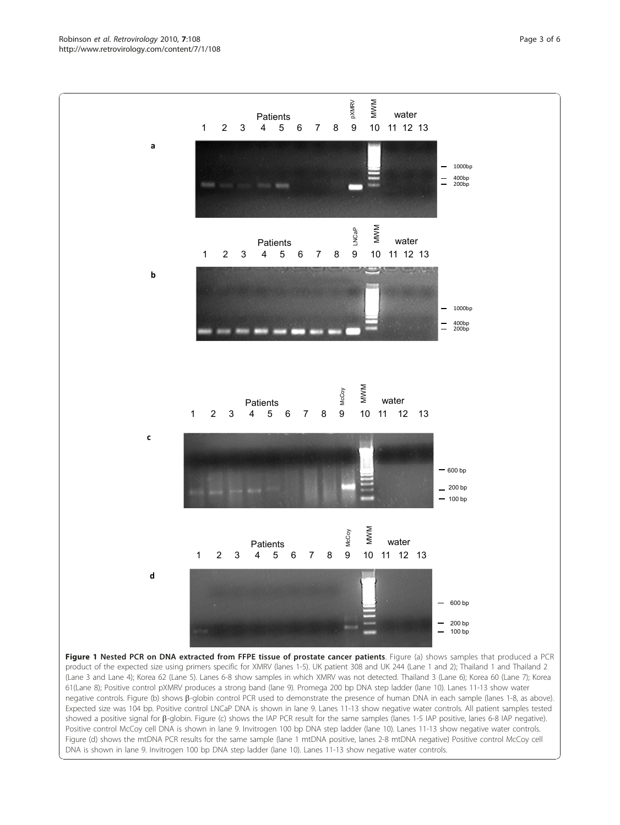<span id="page-2-0"></span>Robinson et al. Retrovirology 2010, <sup>7</sup>:108 http://www.retrovirology.com/content/7/1/108



Figure 1 Nested PCR on DNA extracted from FFPE tissue of prostate cancer patients. Figure (a) shows samples that produced a PCR product of the expected size using primers specific for XMRV (lanes 1-5). UK patient 308 and UK 244 (Lane 1 and 2); Thailand 1 and Thailand 2 (Lane 3 and Lane 4); Korea 62 (Lane 5). Lanes 6-8 show samples in which XMRV was not detected. Thailand 3 (Lane 6); Korea 60 (Lane 7); Korea 61(Lane 8); Positive control pXMRV produces a strong band (lane 9). Promega 200 bp DNA step ladder (lane 10). Lanes 11-13 show water negative controls. Figure (b) shows β-globin control PCR used to demonstrate the presence of human DNA in each sample (lanes 1-8, as above). Expected size was 104 bp. Positive control LNCaP DNA is shown in lane 9. Lanes 11-13 show negative water controls. All patient samples tested showed a positive signal for β-globin. Figure (c) shows the IAP PCR result for the same samples (lanes 1-5 IAP positive, lanes 6-8 IAP negative). Positive control McCoy cell DNA is shown in lane 9. Invitrogen 100 bp DNA step ladder (lane 10). Lanes 11-13 show negative water controls. Figure (d) shows the mtDNA PCR results for the same sample (lane 1 mtDNA positive, lanes 2-8 mtDNA negative) Positive control McCoy cell DNA is shown in lane 9. Invitrogen 100 bp DNA step ladder (lane 10). Lanes 11-13 show negative water controls.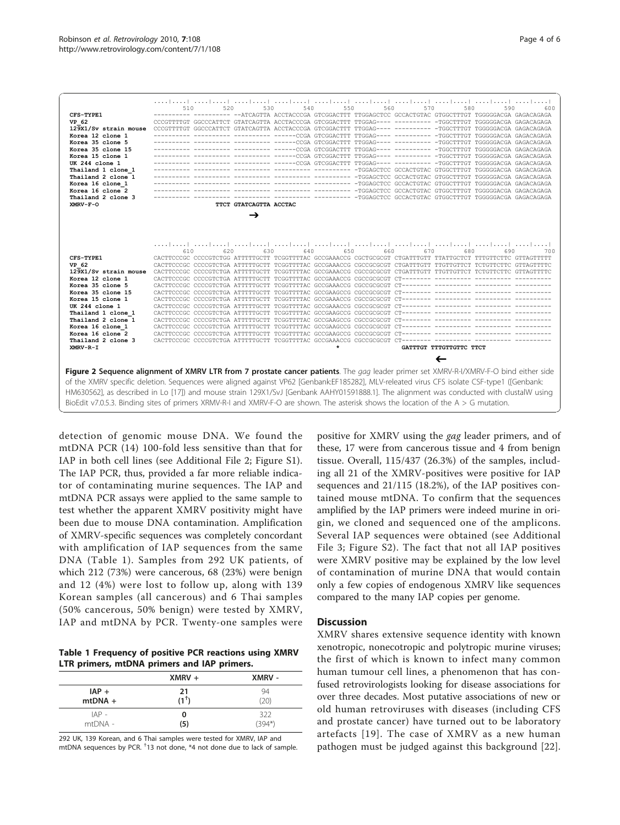<span id="page-3-0"></span>

| CFS-TYPE1<br>VP 62<br>129X1/Sv strain mouse<br>Korea 12 clone 1<br>Korea 35 clone 5<br>Korea 35 clone 15<br>Korea 15 clone 1<br>UK 244 clone 1<br>Thailand 1 clone 1<br>Thailand 2 clone 1<br>Korea 16 clone 1<br>Korea 16 clone 2<br>Thailand 2 clone 3<br>XMRV-F-O | التنباييند البيدانييد البيدانييد البيدانييد البيدانييد التحاربيين البيدانييد البيدانييد البيدانييد<br>530<br>540<br>550<br>560<br>570<br>580<br>590<br>520<br>600<br>---------- -- ATCAGTTA ACCTACCCGA GTCGGACTTT TTGGAGCTCC GCCACTGTAC GTGGCTTTGT TGGGGGACGA GAGACAGAGA<br>CCCGTTTTGT GGCCCATTCT GTATCAGTTA ACCTACCCGA GTCGGACTTT TTGGAG---- ---------- -TGGCTTTGT TGGGGGACGA GAGACAGAGA<br>CCCGTTTTGT GGCCCATTCT GTATCAGTTA ACCTACCCGA GTCGGACTTT TTGGAG---- ---------- -TGGCTTTGT TGGGGGACGA GAGACAGAGA<br>--------- --------- ------CCGA GTCGGACTTT TTGGAG---- ---------- -TGGCTTTGT TGGGGGACGA GAGACAGAGA<br>---------- --------- --------- ------CCGA GTCGGACTTT TTGGAG---- ---------- -TGGCTTTGT TGGGGGACGA GAGACAGAGA<br>---------- --------- --------- ------CCGA GTCGGACTTT TTGGAG---- ---------- -TGGCTTTGT TGGGGGACGA GAGACAGAGA<br>--------- --------- --------- -----CCGA GTCGGACTTT TTGGAG---- --------- -TGGCTTTGT TGGGGGACGA GAGACAGAGA<br>--------- --------- --------- ------CCGA GTCGGACTTT TTGGAG---- ---------- -TGGCTTTGT TGGGGGACGA GAGACAGAGA<br>TTCT GTATCAGTTA ACCTAC<br>→ |
|----------------------------------------------------------------------------------------------------------------------------------------------------------------------------------------------------------------------------------------------------------------------|-------------------------------------------------------------------------------------------------------------------------------------------------------------------------------------------------------------------------------------------------------------------------------------------------------------------------------------------------------------------------------------------------------------------------------------------------------------------------------------------------------------------------------------------------------------------------------------------------------------------------------------------------------------------------------------------------------------------------------------------------------------------------------------------------------------------------------------------------------------------------------------------------------------------------------------------------------------------------------------------------------------------------------------------------------------------------------------------------------|
| CFS-TYPE1<br>VP 62<br>129X1/Sv strain mouse<br>Korea 12 clone 1<br>Korea 35 clone 5<br>Korea 35 clone 15<br>Korea 15 clone 1<br>UK 244 clone 1<br>Thailand 1 clone 1<br>Thailand 2 clone 1<br>Korea 16 clone 1<br>Korea 16 clone 2<br>Thailand 2 clone 3<br>XMRV-R-I | المتطلقين المتطلقين المتطلقين المتطلقين المتطلقين المتطلقين المتطلقين المتطلقين المتطلقين المتطلقين<br>650<br>660<br>610<br>620<br>630<br>640<br>670<br>680<br>690<br>700<br>CACTTCCCGC CCCCGTCTGG ATTTTTGCTT TCGGTTTTAC GCCGAAACCG CGCTGCGCGT CTGATTTGTT TTATTGCTCT TTTGTTCTTC GTTAGTTTTT<br>CACTTCCCGC CCCCGTCTGA ATTTTTGCTT TCGGTTTTAC GCCGAAACCG CGCCGCGCGT CTGATTTGTT TTGTTGTTCT TCTGTTCTTC GTTAGTTTTC<br>CACTTCCCGC CCCCGTCTGA ATTTTTGCTT TCGGTTTTAC GCCGAAACCG CGCCGCGCGT CTGATTTGTT TTGTTGTTCT TCTGTTCTTC GTTAGTTTTC<br>$\star$<br>GATTTGT TTTGTTGTTC TTCT                                                                                                                                                                                                                                                                                                                                                                                                                                                                                                                                    |
|                                                                                                                                                                                                                                                                      | ←<br>Figure 2 Sequence alignment of XMRV LTR from 7 prostate cancer patients. The gag leader primer set XMRV-R-I/XMRV-F-O bind either side<br>of the XMRV specific deletion. Sequences were aligned against VP62 [Genbank:EF185282], MLV-releated virus CFS isolate CSF-type1 ([Genbank:<br>HM630562], as described in Lo [17]) and mouse strain 129X1/SvJ [Genbank AAHY01591888.1]. The alignment was conducted with clustalW using<br>BioEdit v7.0.5.3. Binding sites of primers XRMV-R-I and XMRV-F-O are shown. The asterisk shows the location of the A > G mutation.                                                                                                                                                                                                                                                                                                                                                                                                                                                                                                                            |

detection of genomic mouse DNA. We found the mtDNA PCR (14) 100-fold less sensitive than that for IAP in both cell lines (see Additional File [2;](#page-4-0) Figure S1). The IAP PCR, thus, provided a far more reliable indicator of contaminating murine sequences. The IAP and mtDNA PCR assays were applied to the same sample to test whether the apparent XMRV positivity might have been due to mouse DNA contamination. Amplification of XMRV-specific sequences was completely concordant with amplification of IAP sequences from the same DNA (Table 1). Samples from 292 UK patients, of which 212 (73%) were cancerous, 68 (23%) were benign and 12 (4%) were lost to follow up, along with 139 Korean samples (all cancerous) and 6 Thai samples (50% cancerous, 50% benign) were tested by XMRV, IAP and mtDNA by PCR. Twenty-one samples were

Table 1 Frequency of positive PCR reactions using XMRV LTR primers, mtDNA primers and IAP primers.

|           | $XMRV +$ | XMRV -   |
|-----------|----------|----------|
| $IAP +$   | 21       | 94       |
| $mtDNA +$ | $(1^+)$  | (20)     |
| $IAP -$   | 0        | 322      |
| mtDNA -   | (5)      | $(394*)$ |

292 UK, 139 Korean, and 6 Thai samples were tested for XMRV, IAP and mtDNA sequences by PCR. <sup>†</sup>13 not done, \*4 not done due to lack of sample.

positive for XMRV using the gag leader primers, and of these, 17 were from cancerous tissue and 4 from benign tissue. Overall, 115/437 (26.3%) of the samples, including all 21 of the XMRV-positives were positive for IAP sequences and 21/115 (18.2%), of the IAP positives contained mouse mtDNA. To confirm that the sequences amplified by the IAP primers were indeed murine in origin, we cloned and sequenced one of the amplicons. Several IAP sequences were obtained (see Additional File [3](#page-4-0); Figure S2). The fact that not all IAP positives were XMRV positive may be explained by the low level of contamination of murine DNA that would contain only a few copies of endogenous XMRV like sequences compared to the many IAP copies per genome.

### **Discussion**

XMRV shares extensive sequence identity with known xenotropic, nonecotropic and polytropic murine viruses; the first of which is known to infect many common human tumour cell lines, a phenomenon that has confused retrovirologists looking for disease associations for over three decades. Most putative associations of new or old human retroviruses with diseases (including CFS and prostate cancer) have turned out to be laboratory artefacts [[19\]](#page-5-0). The case of XMRV as a new human pathogen must be judged against this background [[22](#page-5-0)].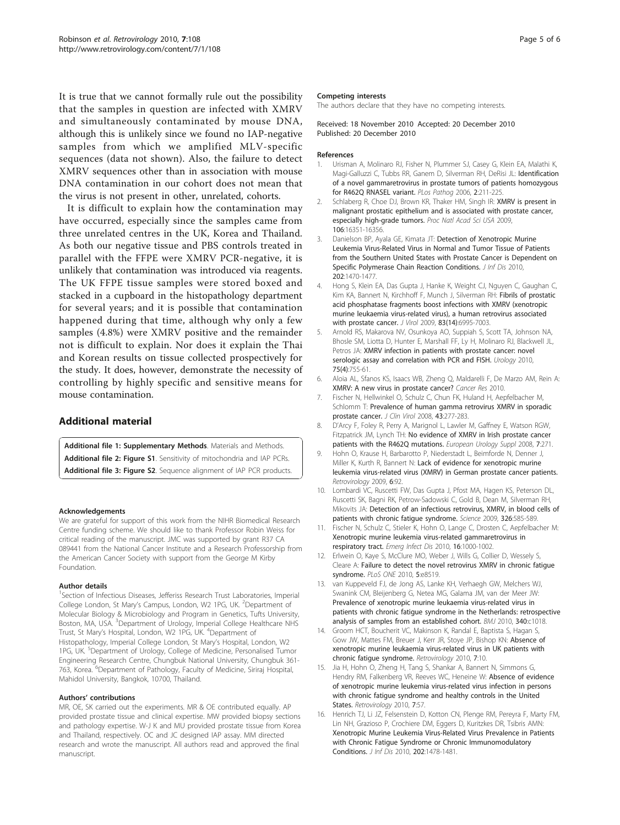<span id="page-4-0"></span>It is true that we cannot formally rule out the possibility that the samples in question are infected with XMRV and simultaneously contaminated by mouse DNA, although this is unlikely since we found no IAP-negative samples from which we amplified MLV-specific sequences (data not shown). Also, the failure to detect XMRV sequences other than in association with mouse DNA contamination in our cohort does not mean that the virus is not present in other, unrelated, cohorts.

It is difficult to explain how the contamination may have occurred, especially since the samples came from three unrelated centres in the UK, Korea and Thailand. As both our negative tissue and PBS controls treated in parallel with the FFPE were XMRV PCR-negative, it is unlikely that contamination was introduced via reagents. The UK FFPE tissue samples were stored boxed and stacked in a cupboard in the histopathology department for several years; and it is possible that contamination happened during that time, although why only a few samples (4.8%) were XMRV positive and the remainder not is difficult to explain. Nor does it explain the Thai and Korean results on tissue collected prospectively for the study. It does, however, demonstrate the necessity of controlling by highly specific and sensitive means for mouse contamination.

# Additional material

[Additional file 1: S](http://www.biomedcentral.com/content/supplementary/1742-4690-7-108-S1.DOC)upplementary Methods. Materials and Methods. [Additional file 2: F](http://www.biomedcentral.com/content/supplementary/1742-4690-7-108-S2.DOC)igure S1. Sensitivity of mitochondria and IAP PCRs. [Additional file 3: F](http://www.biomedcentral.com/content/supplementary/1742-4690-7-108-S3.DOC)igure S2. Sequence alignment of IAP PCR products.

#### Acknowledgements

We are grateful for support of this work from the NIHR Biomedical Research Centre funding scheme. We should like to thank Professor Robin Weiss for critical reading of the manuscript. JMC was supported by grant R37 CA 089441 from the National Cancer Institute and a Research Professorship from the American Cancer Society with support from the George M Kirby Foundation.

#### Author details

<sup>1</sup>Section of Infectious Diseases, Jefferiss Research Trust Laboratories, Imperial College London, St Mary's Campus, London, W2 1PG, UK. <sup>2</sup>Department of Molecular Biology & Microbiology and Program in Genetics, Tufts University, Boston, MA, USA. <sup>3</sup>Department of Urology, Imperial College Healthcare NHS Trust, St Mary's Hospital, London, W2 1PG, UK. <sup>4</sup> Department of Histopathology, Imperial College London, St Mary's Hospital, London, W2 1PG, UK. <sup>5</sup>Department of Urology, College of Medicine, Personalised Tumor Engineering Research Centre, Chungbuk National University, Chungbuk 361- 763, Korea. <sup>6</sup>Department of Pathology, Faculty of Medicine, Siriraj Hospital, Mahidol University, Bangkok, 10700, Thailand.

#### Authors' contributions

MR, OE, SK carried out the experiments. MR & OE contributed equally. AP provided prostate tissue and clinical expertise. MW provided biopsy sections and pathology expertise. W-J K and MU provided prostate tissue from Korea and Thailand, respectively. OC and JC designed IAP assay. MM directed research and wrote the manuscript. All authors read and approved the final manuscript.

#### Competing interests

The authors declare that they have no competing interests.

#### Received: 18 November 2010 Accepted: 20 December 2010 Published: 20 December 2010

#### References

- 1. Urisman A, Molinaro RJ, Fisher N, Plummer SJ, Casey G, Klein EA, Malathi K, Magi-Galluzzi C, Tubbs RR, Ganem D, Silverman RH, DeRisi JL: Identification of a novel gammaretrovirus in prostate tumors of patients homozygous for R462Q RNASEL variant. PLos Pathog 2006, 2:211-225.
- 2. Schlaberg R, Choe DJ, Brown KR, Thaker HM, Singh IR: [XMRV is present in](http://www.ncbi.nlm.nih.gov/pubmed/19805305?dopt=Abstract) [malignant prostatic epithelium and is associated with prostate cancer,](http://www.ncbi.nlm.nih.gov/pubmed/19805305?dopt=Abstract) [especially high-grade tumors.](http://www.ncbi.nlm.nih.gov/pubmed/19805305?dopt=Abstract) Proc Natl Acad Sci USA 2009, 106:16351-16356.
- 3. Danielson BP, Ayala GE, Kimata JT: Detection of Xenotropic Murine Leukemia Virus-Related Virus in Normal and Tumor Tissue of Patients from the Southern United States with Prostate Cancer is Dependent on Specific Polymerase Chain Reaction Conditions. *J Inf Dis* 2010, 202:1470-1477.
- 4. Hong S, Klein EA, Das Gupta J, Hanke K, Weight CJ, Nguyen C, Gaughan C, Kim KA, Bannert N, Kirchhoff F, Munch J, Silverman RH: [Fibrils of prostatic](http://www.ncbi.nlm.nih.gov/pubmed/19403677?dopt=Abstract) [acid phosphatase fragments boost infections with XMRV \(xenotropic](http://www.ncbi.nlm.nih.gov/pubmed/19403677?dopt=Abstract) [murine leukaemia virus-related virus\), a human retrovirus associated](http://www.ncbi.nlm.nih.gov/pubmed/19403677?dopt=Abstract) [with prostate cancer.](http://www.ncbi.nlm.nih.gov/pubmed/19403677?dopt=Abstract) J Virol 2009, 83(14):6995-7003.
- 5. Arnold RS, Makarova NV, Osunkoya AO, Suppiah S, Scott TA, Johnson NA, Bhosle SM, Liotta D, Hunter E, Marshall FF, Ly H, Molinaro RJ, Blackwell JL, Petros JA: [XMRV infection in patients with prostate cancer: novel](http://www.ncbi.nlm.nih.gov/pubmed/20371060?dopt=Abstract) [serologic assay and correlation with PCR and FISH.](http://www.ncbi.nlm.nih.gov/pubmed/20371060?dopt=Abstract) Urology 2010, 75(4):755-61.
- 6. Aloia AL, Sfanos KS, Isaacs WB, Zheng Q, Maldarelli F, De Marzo AM, Rein A: [XMRV: A new virus in prostate cancer?](http://www.ncbi.nlm.nih.gov/pubmed/20966126?dopt=Abstract) Cancer Res 2010.
- 7. Fischer N, Hellwinkel O, Schulz C, Chun FK, Huland H, Aepfelbacher M, Schlomm T: [Prevalence of human gamma retrovirus XMRV in sporadic](http://www.ncbi.nlm.nih.gov/pubmed/18823818?dopt=Abstract) [prostate cancer.](http://www.ncbi.nlm.nih.gov/pubmed/18823818?dopt=Abstract) J Clin Virol 2008, 43:277-283.
- 8. D'Arcy F, Foley R, Perry A, Marignol L, Lawler M, Gaffney E, Watson RGW, Fitzpatrick JM, Lynch TH: No evidence of XMRV in Irish prostate cancer patients with the R462Q mutations. European Urology Suppl 2008, 7:271.
- 9. Hohn O, Krause H, Barbarotto P, Niederstadt L, Beimforde N, Denner J, Miller K, Kurth R, Bannert N: [Lack of evidence for xenotropic murine](http://www.ncbi.nlm.nih.gov/pubmed/19835577?dopt=Abstract) [leukemia virus-related virus \(XMRV\) in German prostate cancer patients.](http://www.ncbi.nlm.nih.gov/pubmed/19835577?dopt=Abstract) Retrovirology 2009, 6:92.
- 10. Lombardi VC, Ruscetti FW, Das Gupta J, Pfost MA, Hagen KS, Peterson DL, Ruscetti SK, Bagni RK, Petrow-Sadowski C, Gold B, Dean M, Silverman RH, Mikovits JA: [Detection of an infectious retrovirus, XMRV, in blood cells of](http://www.ncbi.nlm.nih.gov/pubmed/19815723?dopt=Abstract) [patients with chronic fatigue syndrome.](http://www.ncbi.nlm.nih.gov/pubmed/19815723?dopt=Abstract) Science 2009, 326:585-589.
- 11. Fischer N, Schulz C, Stieler K, Hohn O, Lange C, Drosten C, Aepfelbacher M: [Xenotropic murine leukemia virus-related gammaretrovirus in](http://www.ncbi.nlm.nih.gov/pubmed/20507757?dopt=Abstract) [respiratory tract.](http://www.ncbi.nlm.nih.gov/pubmed/20507757?dopt=Abstract) Emerg Infect Dis 2010, 16:1000-1002.
- 12. Erlwein O, Kaye S, McClure MO, Weber J, Wills G, Collier D, Wessely S, Cleare A: [Failure to detect the novel retrovirus XMRV in chronic fatigue](http://www.ncbi.nlm.nih.gov/pubmed/20066031?dopt=Abstract) [syndrome.](http://www.ncbi.nlm.nih.gov/pubmed/20066031?dopt=Abstract) PLoS ONE 2010, 5:e8519.
- 13. van Kuppeveld FJ, de Jong AS, Lanke KH, Verhaegh GW, Melchers WJ, Swanink CM, Bleijenberg G, Netea MG, Galama JM, van der Meer JW: [Prevalence of xenotropic murine leukaemia virus-related virus in](http://www.ncbi.nlm.nih.gov/pubmed/20185493?dopt=Abstract) [patients with chronic fatigue syndrome in the Netherlands: retrospective](http://www.ncbi.nlm.nih.gov/pubmed/20185493?dopt=Abstract) [analysis of samples from an established cohort.](http://www.ncbi.nlm.nih.gov/pubmed/20185493?dopt=Abstract) BMJ 2010, 340:c1018.
- 14. Groom HCT, Boucherit VC, Makinson K, Randal E, Baptista S, Hagan S, Gow JW, Mattes FM, Breuer J, Kerr JR, Stoye JP, Bishop KN: [Absence of](http://www.ncbi.nlm.nih.gov/pubmed/20156349?dopt=Abstract) [xenotropic murine leukaemia virus-related virus in UK patients with](http://www.ncbi.nlm.nih.gov/pubmed/20156349?dopt=Abstract) [chronic fatigue syndrome.](http://www.ncbi.nlm.nih.gov/pubmed/20156349?dopt=Abstract) Retrovirology 2010, 7:10.
- 15. Jia H, Hohn O, Zheng H, Tang S, Shankar A, Bannert N, Simmons G, Hendry RM, Falkenberg VR, Reeves WC, Heneine W: [Absence of evidence](http://www.ncbi.nlm.nih.gov/pubmed/20594299?dopt=Abstract) [of xenotropic murine leukemia virus-related virus infection in persons](http://www.ncbi.nlm.nih.gov/pubmed/20594299?dopt=Abstract) [with chronic fatigue syndrome and healthy controls in the United](http://www.ncbi.nlm.nih.gov/pubmed/20594299?dopt=Abstract) [States.](http://www.ncbi.nlm.nih.gov/pubmed/20594299?dopt=Abstract) Retrovirology 2010, 7:57.
- 16. Henrich TJ, Li JZ, Felsenstein D, Kotton CN, Plenge RM, Pereyra F, Marty FM, Lin NH, Grazioso P, Crochiere DM, Eggers D, Kuritzkes DR, Tsibris AMN: Xenotropic Murine Leukemia Virus-Related Virus Prevalence in Patients with Chronic Fatigue Syndrome or Chronic Immunomodulatory Conditions. J Inf Dis 2010, 202:1478-1481.